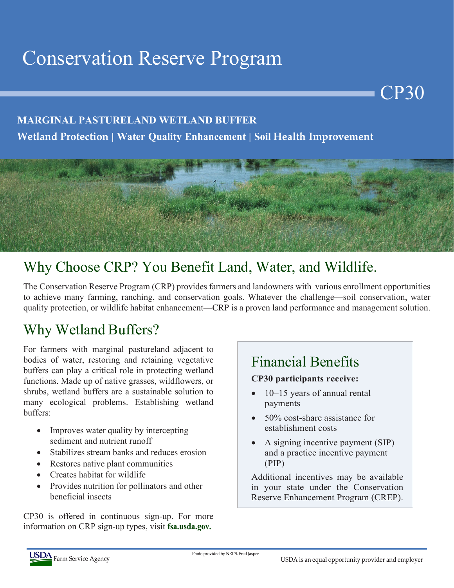# Conservation Reserve Program

#### **MARGINAL PASTURELAND WETLAND BUFFER**

**Wetland Protection | Water Quality Enhancement | Soil Health Improvement**



## Why Choose CRP? You Benefit Land, Water, and Wildlife.

The Conservation Reserve Program (CRP) provides farmers and landowners with various enrollment opportunities to achieve many farming, ranching, and conservation goals. Whatever the challenge—soil conservation, water quality protection, or wildlife habitat enhancement—CRP is a proven land performance and management solution.

### Why Wetland Buffers?

For farmers with marginal pastureland adjacent to bodies of water, restoring and retaining vegetative buffers can play a critical role in protecting wetland functions. Made up of native grasses, wildflowers, or shrubs, wetland buffers are a sustainable solution to many ecological problems. Establishing wetland buffers:

- Improves water quality by intercepting sediment and nutrient runoff
- Stabilizes stream banks and reduces erosion
- Restores native plant communities
- Creates habitat for wildlife
- Provides nutrition for pollinators and other beneficial insects

CP30 is offered in continuous sign-up. For more information on CRP sign-up types, visit **fsa.usda.gov.**

#### Financial Benefits

#### **CP30 participants receive:**

- 10–15 years of annual rental payments
- 50% cost-share assistance for establishment costs
- A signing incentive payment (SIP) and a practice incentive payment (PIP)

Additional incentives may be available in your state under the Conservation Reserve Enhancement Program (CREP).

CP30